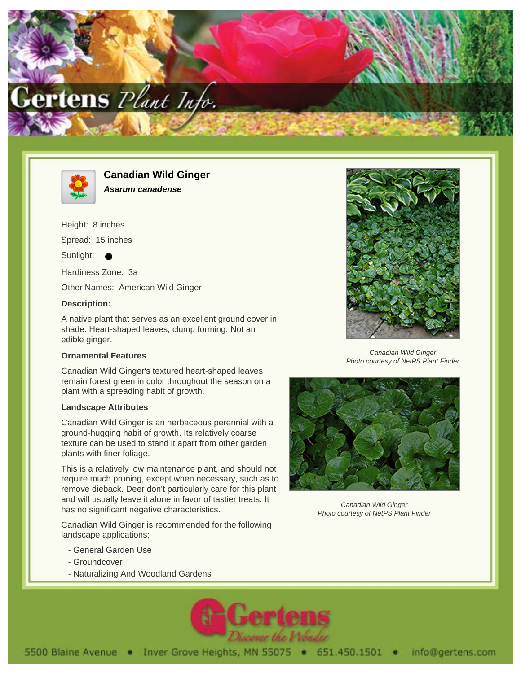



**Canadian Wild Ginger Asarum canadense**

Height: 8 inches

Spread: 15 inches

Sunlight:

Hardiness Zone: 3a

Other Names: American Wild Ginger

#### **Description:**

A native plant that serves as an excellent ground cover in shade. Heart-shaped leaves, clump forming. Not an edible ginger.

### **Ornamental Features**

Canadian Wild Ginger's textured heart-shaped leaves remain forest green in color throughout the season on a plant with a spreading habit of growth.

### **Landscape Attributes**

Canadian Wild Ginger is an herbaceous perennial with a ground-hugging habit of growth. Its relatively coarse texture can be used to stand it apart from other garden plants with finer foliage.

This is a relatively low maintenance plant, and should not require much pruning, except when necessary, such as to remove dieback. Deer don't particularly care for this plant and will usually leave it alone in favor of tastier treats. It has no significant negative characteristics.

Canadian Wild Ginger is recommended for the following landscape applications;

- General Garden Use
- Groundcover
- Naturalizing And Woodland Gardens





Canadian Wild Ginger Photo courtesy of NetPS Plant Finder



Canadian Wild Ginger Photo courtesy of NetPS Plant Finder